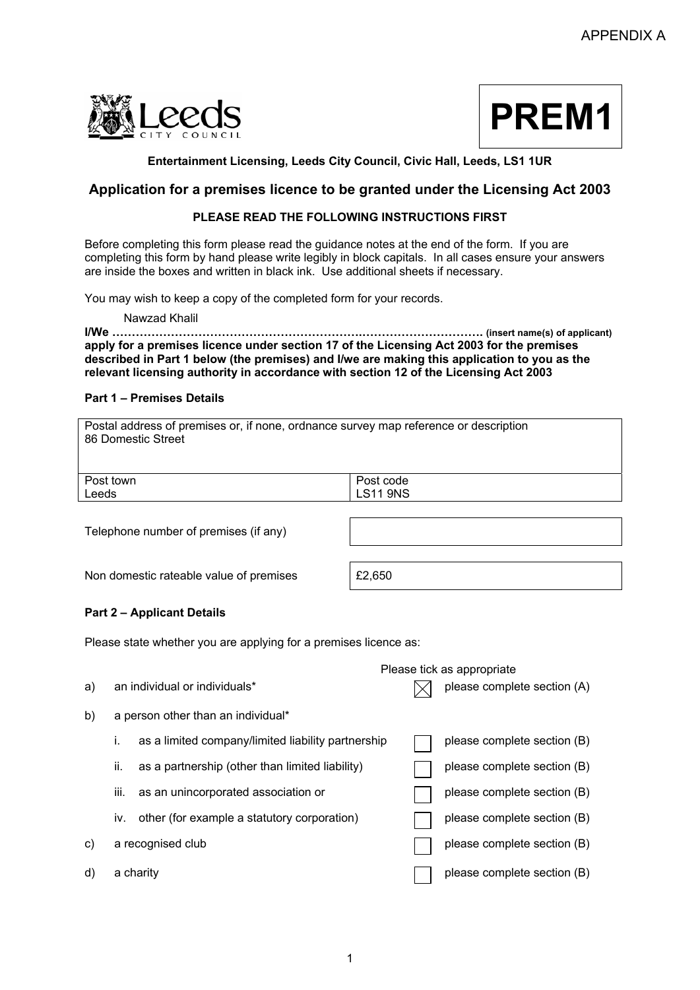



**Entertainment Licensing, Leeds City Council, Civic Hall, Leeds, LS1 1UR** 

### **Application for a premises licence to be granted under the Licensing Act 2003**

### **PLEASE READ THE FOLLOWING INSTRUCTIONS FIRST**

Before completing this form please read the guidance notes at the end of the form. If you are completing this form by hand please write legibly in block capitals. In all cases ensure your answers are inside the boxes and written in black ink. Use additional sheets if necessary.

You may wish to keep a copy of the completed form for your records.

Nawzad Khalil

**I/We ……………………………………………………….…………………………. (insert name(s) of applicant) apply for a premises licence under section 17 of the Licensing Act 2003 for the premises described in Part 1 below (the premises) and I/we are making this application to you as the relevant licensing authority in accordance with section 12 of the Licensing Act 2003** 

### **Part 1 – Premises Details**

| Postal address of premises or, if none, ordnance survey map reference or description |                 |  |  |  |  |  |
|--------------------------------------------------------------------------------------|-----------------|--|--|--|--|--|
| 86 Domestic Street                                                                   |                 |  |  |  |  |  |
|                                                                                      |                 |  |  |  |  |  |
| Post town                                                                            | Post code       |  |  |  |  |  |
| Leeds                                                                                | <b>LS11 9NS</b> |  |  |  |  |  |
|                                                                                      |                 |  |  |  |  |  |
| — II I <i>I</i> I <i>II II</i> II                                                    |                 |  |  |  |  |  |

Telephone number of premises (if any)

Non domestic rateable value of premises  $\vert$  £2,650

### **Part 2 – Applicant Details**

Please state whether you are applying for a premises licence as:

|    |     |                                                    | Please tick as appropriate  |
|----|-----|----------------------------------------------------|-----------------------------|
| a) |     | an individual or individuals*                      | please complete section (A) |
| b) |     | a person other than an individual*                 |                             |
|    | I.  | as a limited company/limited liability partnership | please complete section (B) |
|    | ii. | as a partnership (other than limited liability)    | please complete section (B) |
|    | Ш.  | as an unincorporated association or                | please complete section (B) |
|    | IV. | other (for example a statutory corporation)        | please complete section (B) |
| C) |     | a recognised club                                  | please complete section (B) |
| d) |     | a charity                                          | please complete section (B) |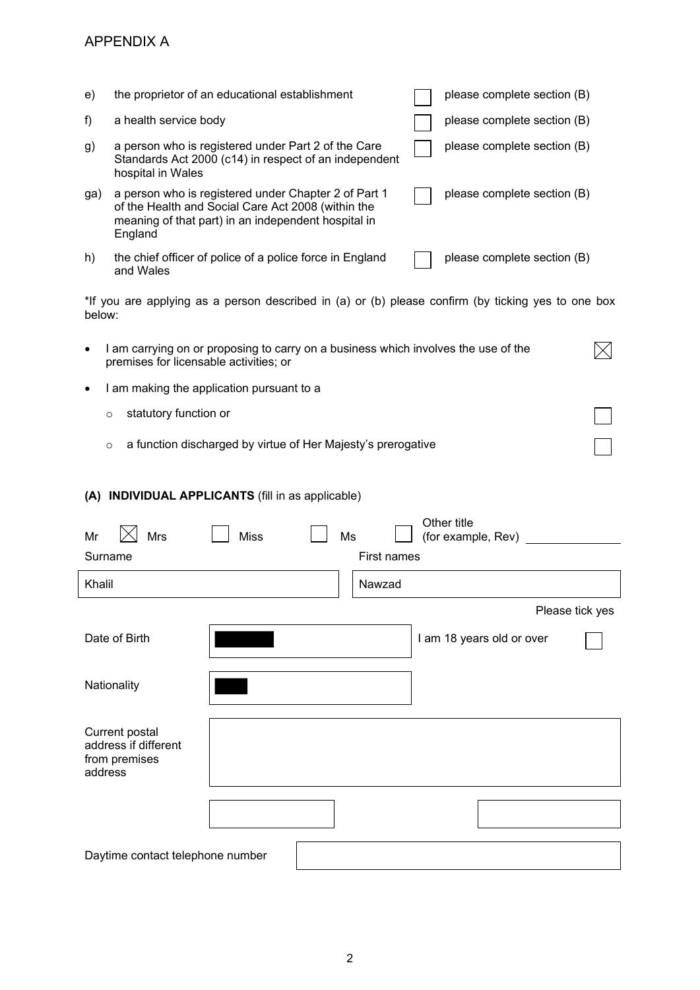### APPENDIX A

| e)                                                |                                                                | the proprietor of an educational establishment                                                                                                                                                   |             |  | please complete section (B) |                 |  |  |
|---------------------------------------------------|----------------------------------------------------------------|--------------------------------------------------------------------------------------------------------------------------------------------------------------------------------------------------|-------------|--|-----------------------------|-----------------|--|--|
| f)                                                | a health service body                                          |                                                                                                                                                                                                  |             |  | please complete section (B) |                 |  |  |
| g)                                                | hospital in Wales                                              | a person who is registered under Part 2 of the Care<br>Standards Act 2000 (c14) in respect of an independent                                                                                     |             |  | please complete section (B) |                 |  |  |
| ga)                                               | England                                                        | a person who is registered under Chapter 2 of Part 1<br>please complete section (B)<br>of the Health and Social Care Act 2008 (within the<br>meaning of that part) in an independent hospital in |             |  |                             |                 |  |  |
| h)                                                | and Wales                                                      | the chief officer of police of a police force in England                                                                                                                                         |             |  | please complete section (B) |                 |  |  |
| below:                                            |                                                                | *If you are applying as a person described in (a) or (b) please confirm (by ticking yes to one box                                                                                               |             |  |                             |                 |  |  |
|                                                   | premises for licensable activities; or                         | I am carrying on or proposing to carry on a business which involves the use of the                                                                                                               |             |  |                             |                 |  |  |
|                                                   |                                                                | I am making the application pursuant to a                                                                                                                                                        |             |  |                             |                 |  |  |
|                                                   | statutory function or<br>$\circ$                               |                                                                                                                                                                                                  |             |  |                             |                 |  |  |
|                                                   | $\circ$                                                        | a function discharged by virtue of Her Majesty's prerogative                                                                                                                                     |             |  |                             |                 |  |  |
| (A) INDIVIDUAL APPLICANTS (fill in as applicable) |                                                                |                                                                                                                                                                                                  |             |  |                             |                 |  |  |
|                                                   |                                                                |                                                                                                                                                                                                  |             |  |                             |                 |  |  |
| Mr                                                | <b>Mrs</b>                                                     |                                                                                                                                                                                                  |             |  | Other title                 |                 |  |  |
|                                                   | Surname                                                        | <b>Miss</b><br>Ms                                                                                                                                                                                | First names |  | (for example, Rev)          |                 |  |  |
| Khalil                                            |                                                                |                                                                                                                                                                                                  | Nawzad      |  |                             |                 |  |  |
|                                                   |                                                                |                                                                                                                                                                                                  |             |  |                             | Please tick yes |  |  |
|                                                   | Date of Birth                                                  |                                                                                                                                                                                                  |             |  | I am 18 years old or over   |                 |  |  |
|                                                   | Nationality                                                    |                                                                                                                                                                                                  |             |  |                             |                 |  |  |
| address                                           | <b>Current postal</b><br>address if different<br>from premises |                                                                                                                                                                                                  |             |  |                             |                 |  |  |
|                                                   |                                                                |                                                                                                                                                                                                  |             |  |                             |                 |  |  |
|                                                   | Daytime contact telephone number                               |                                                                                                                                                                                                  |             |  |                             |                 |  |  |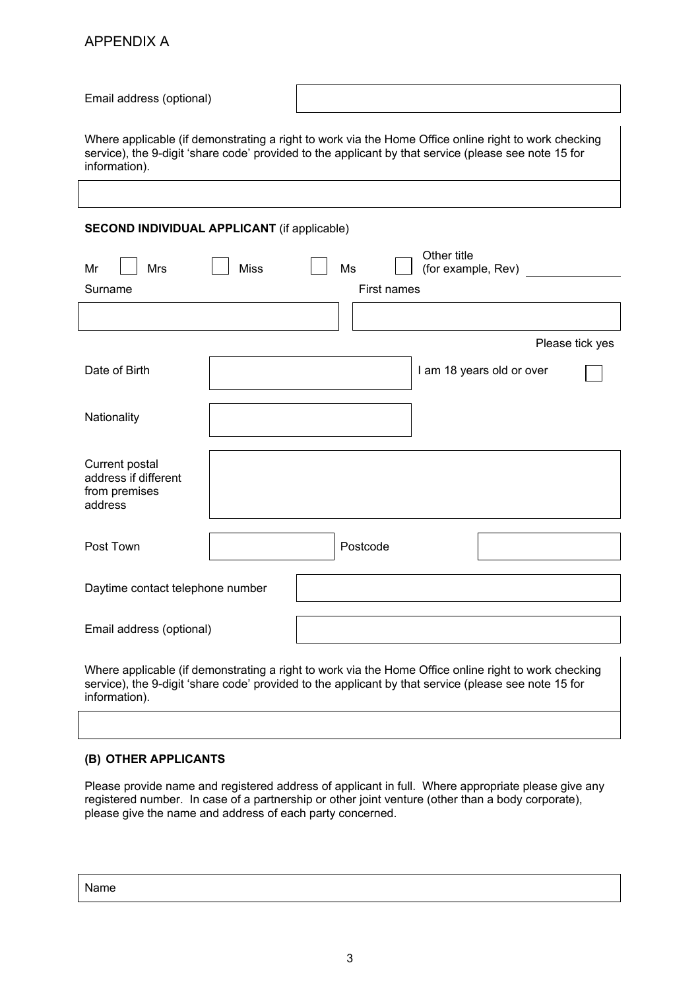### APPENDIX A

Email address (optional)

Where applicable (if demonstrating a right to work via the Home Office online right to work checking service), the 9-digit 'share code' provided to the applicant by that service (please see note 15 for information).

### **SECOND INDIVIDUAL APPLICANT** (if applicable)

| <b>Mrs</b><br>Mr                                                   | <b>Miss</b> | Ms       |                    | Other title | (for example, Rev)        |                 |
|--------------------------------------------------------------------|-------------|----------|--------------------|-------------|---------------------------|-----------------|
| Surname                                                            |             |          | <b>First names</b> |             |                           |                 |
|                                                                    |             |          |                    |             |                           |                 |
|                                                                    |             |          |                    |             |                           | Please tick yes |
| Date of Birth                                                      |             |          |                    |             | I am 18 years old or over |                 |
| Nationality                                                        |             |          |                    |             |                           |                 |
| Current postal<br>address if different<br>from premises<br>address |             |          |                    |             |                           |                 |
| Post Town                                                          |             | Postcode |                    |             |                           |                 |
| Daytime contact telephone number                                   |             |          |                    |             |                           |                 |
| Email address (optional)                                           |             |          |                    |             |                           |                 |

Where applicable (if demonstrating a right to work via the Home Office online right to work checking service), the 9-digit 'share code' provided to the applicant by that service (please see note 15 for information).

### **(B) OTHER APPLICANTS**

Please provide name and registered address of applicant in full. Where appropriate please give any registered number. In case of a partnership or other joint venture (other than a body corporate), please give the name and address of each party concerned.

Name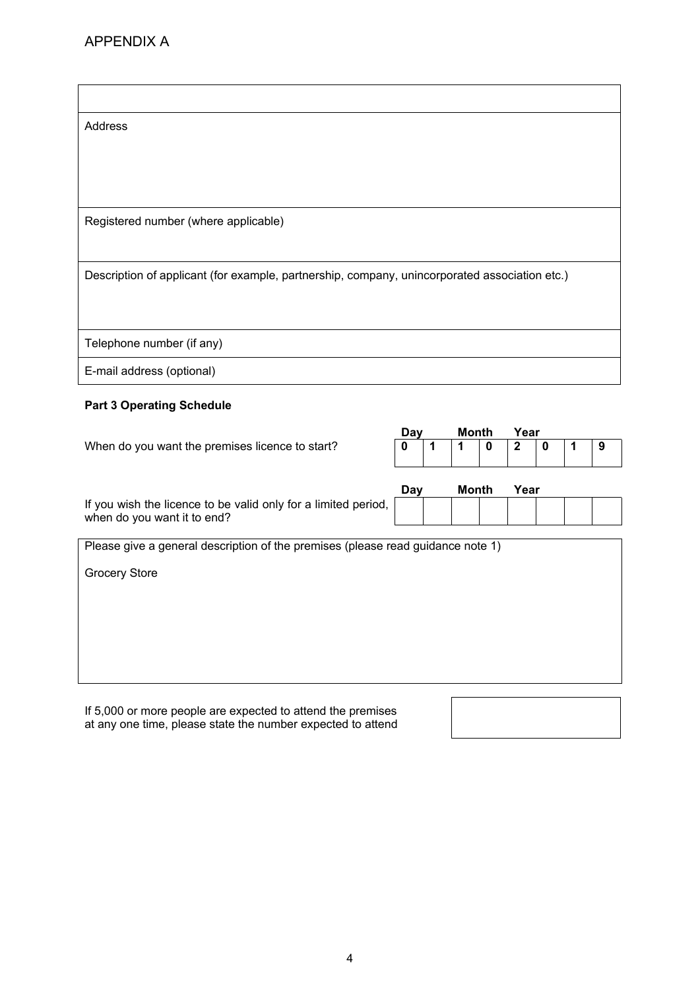| Address                                                                                       |
|-----------------------------------------------------------------------------------------------|
|                                                                                               |
|                                                                                               |
|                                                                                               |
| Registered number (where applicable)                                                          |
|                                                                                               |
| Description of applicant (for example, partnership, company, unincorporated association etc.) |
|                                                                                               |
|                                                                                               |
| Telephone number (if any)                                                                     |
| E-mail address (optional)                                                                     |
| <b>Part 3 Operating Schedule</b>                                                              |
| <b>Month</b><br>Year<br>Dav                                                                   |

| When do you want the premises licence to start?                                               | $\bf{0}$ |              | $\overline{\mathbf{0}}$ | $\overline{2}$ |  | 9 |
|-----------------------------------------------------------------------------------------------|----------|--------------|-------------------------|----------------|--|---|
|                                                                                               | Day      | <b>Month</b> |                         | Year           |  |   |
| If you wish the licence to be valid only for a limited period,<br>when do you want it to end? |          |              |                         |                |  |   |
| Please give a general description of the premises (please read guidance note 1)               |          |              |                         |                |  |   |

Grocery Store

If 5,000 or more people are expected to attend the premises at any one time, please state the number expected to attend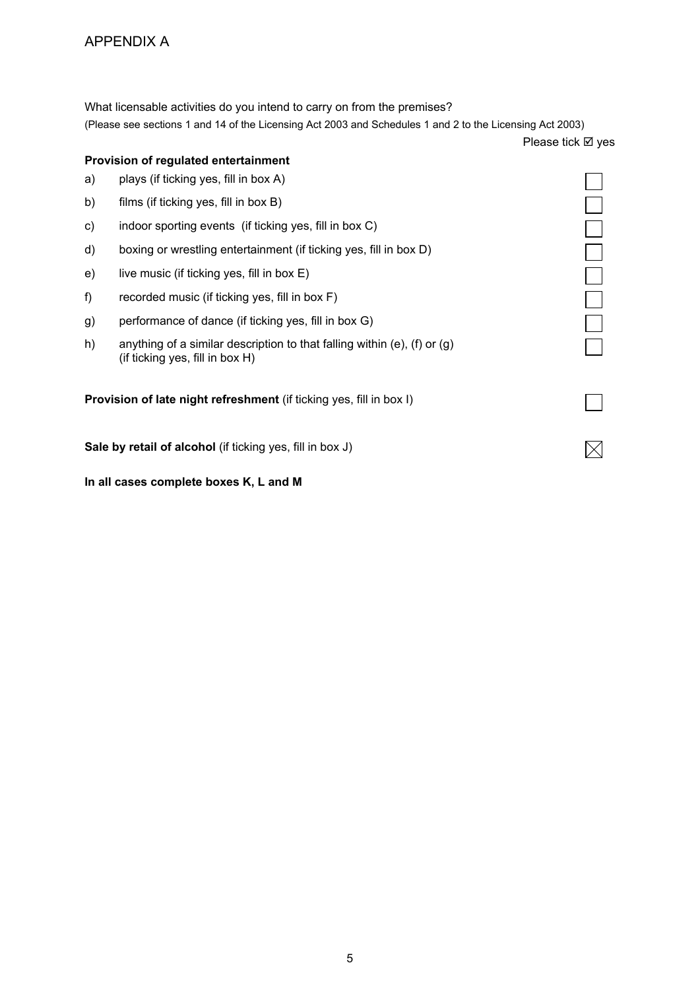### APPENDIX A

What licensable activities do you intend to carry on from the premises? (Please see sections 1 and 14 of the Licensing Act 2003 and Schedules 1 and 2 to the Licensing Act 2003)

Please tick **Ø** yes

|                                                                            | Provision of regulated entertainment                                                                          |  |  |  |  |  |  |  |  |
|----------------------------------------------------------------------------|---------------------------------------------------------------------------------------------------------------|--|--|--|--|--|--|--|--|
| a)                                                                         | plays (if ticking yes, fill in box A)                                                                         |  |  |  |  |  |  |  |  |
| b)                                                                         | films (if ticking yes, fill in box B)                                                                         |  |  |  |  |  |  |  |  |
| C)                                                                         | indoor sporting events (if ticking yes, fill in box C)                                                        |  |  |  |  |  |  |  |  |
| d)                                                                         | boxing or wrestling entertainment (if ticking yes, fill in box D)                                             |  |  |  |  |  |  |  |  |
| e)                                                                         | live music (if ticking yes, fill in box E)                                                                    |  |  |  |  |  |  |  |  |
| f)                                                                         | recorded music (if ticking yes, fill in box F)                                                                |  |  |  |  |  |  |  |  |
| g)                                                                         | performance of dance (if ticking yes, fill in box G)                                                          |  |  |  |  |  |  |  |  |
| h)                                                                         | anything of a similar description to that falling within (e), (f) or $(g)$<br>(if ticking yes, fill in box H) |  |  |  |  |  |  |  |  |
| <b>Provision of late night refreshment</b> (if ticking yes, fill in box I) |                                                                                                               |  |  |  |  |  |  |  |  |
|                                                                            | Sale by retail of alcohol (if ticking yes, fill in box J)                                                     |  |  |  |  |  |  |  |  |
|                                                                            | In all cases complete boxes K, L and M                                                                        |  |  |  |  |  |  |  |  |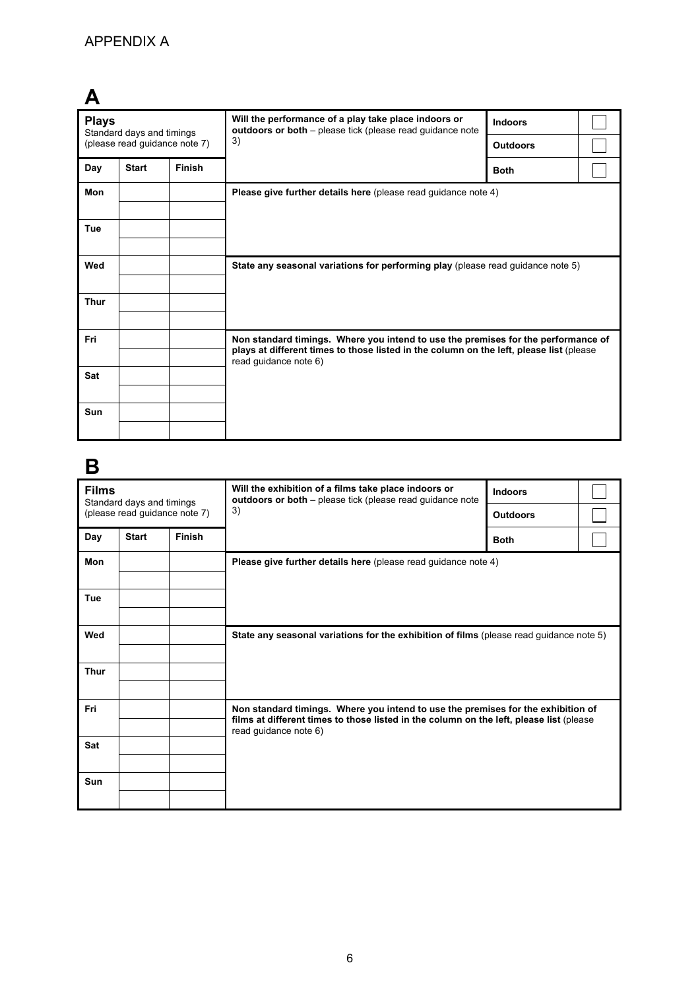| <b>Plays</b><br>Standard days and timings |              |                               | Will the performance of a play take place indoors or<br>outdoors or both – please tick (please read guidance note                                                                                     | <b>Indoors</b>  |  |  |  |
|-------------------------------------------|--------------|-------------------------------|-------------------------------------------------------------------------------------------------------------------------------------------------------------------------------------------------------|-----------------|--|--|--|
|                                           |              | (please read guidance note 7) | 3)                                                                                                                                                                                                    | <b>Outdoors</b> |  |  |  |
| Day                                       | <b>Start</b> | <b>Finish</b>                 |                                                                                                                                                                                                       | <b>Both</b>     |  |  |  |
| Mon                                       |              |                               | Please give further details here (please read guidance note 4)                                                                                                                                        |                 |  |  |  |
| Tue                                       |              |                               |                                                                                                                                                                                                       |                 |  |  |  |
| Wed                                       |              |                               | State any seasonal variations for performing play (please read guidance note 5)                                                                                                                       |                 |  |  |  |
| <b>Thur</b>                               |              |                               |                                                                                                                                                                                                       |                 |  |  |  |
| Fri                                       |              |                               | Non standard timings. Where you intend to use the premises for the performance of<br>plays at different times to those listed in the column on the left, please list (please<br>read guidance note 6) |                 |  |  |  |
| Sat                                       |              |                               |                                                                                                                                                                                                       |                 |  |  |  |
| Sun                                       |              |                               |                                                                                                                                                                                                       |                 |  |  |  |

## **B**

| <b>Films</b><br>Standard days and timings |              |               | Will the exhibition of a films take place indoors or<br>outdoors or both - please tick (please read guidance note                                                                                    | <b>Indoors</b>  |  |
|-------------------------------------------|--------------|---------------|------------------------------------------------------------------------------------------------------------------------------------------------------------------------------------------------------|-----------------|--|
| (please read guidance note 7)             |              |               | 3)                                                                                                                                                                                                   | <b>Outdoors</b> |  |
| Day                                       | <b>Start</b> | <b>Finish</b> |                                                                                                                                                                                                      | <b>Both</b>     |  |
| <b>Mon</b>                                |              |               | Please give further details here (please read guidance note 4)                                                                                                                                       |                 |  |
| Tue                                       |              |               |                                                                                                                                                                                                      |                 |  |
| Wed                                       |              |               | State any seasonal variations for the exhibition of films (please read guidance note 5)                                                                                                              |                 |  |
| <b>Thur</b>                               |              |               |                                                                                                                                                                                                      |                 |  |
| Fri                                       |              |               | Non standard timings. Where you intend to use the premises for the exhibition of<br>films at different times to those listed in the column on the left, please list (please<br>read guidance note 6) |                 |  |
| Sat                                       |              |               |                                                                                                                                                                                                      |                 |  |
| Sun                                       |              |               |                                                                                                                                                                                                      |                 |  |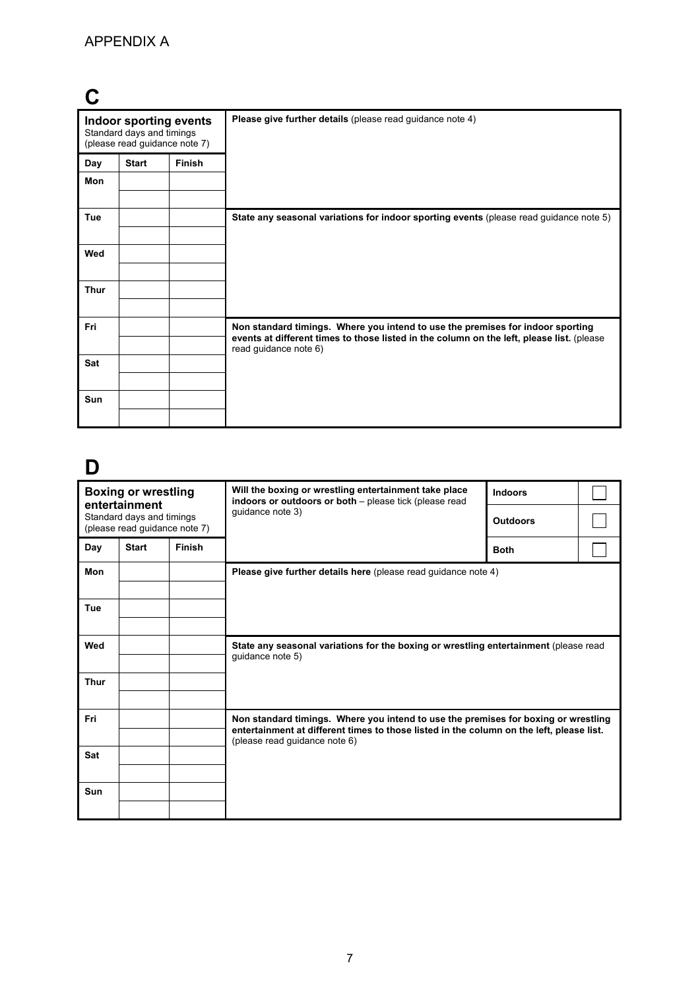|             | Standard days and timings | Indoor sporting events<br>(please read guidance note 7) | Please give further details (please read guidance note 4)                                                                                                                                            |  |  |  |
|-------------|---------------------------|---------------------------------------------------------|------------------------------------------------------------------------------------------------------------------------------------------------------------------------------------------------------|--|--|--|
| Day         | <b>Start</b>              | <b>Finish</b>                                           |                                                                                                                                                                                                      |  |  |  |
| Mon         |                           |                                                         |                                                                                                                                                                                                      |  |  |  |
| Tue         |                           |                                                         | State any seasonal variations for indoor sporting events (please read guidance note 5)                                                                                                               |  |  |  |
| Wed         |                           |                                                         |                                                                                                                                                                                                      |  |  |  |
| <b>Thur</b> |                           |                                                         |                                                                                                                                                                                                      |  |  |  |
| Fri         |                           |                                                         | Non standard timings. Where you intend to use the premises for indoor sporting<br>events at different times to those listed in the column on the left, please list. (please<br>read guidance note 6) |  |  |  |
| Sat         |                           |                                                         |                                                                                                                                                                                                      |  |  |  |
| Sun         |                           |                                                         |                                                                                                                                                                                                      |  |  |  |

# **D**

| <b>Boxing or wrestling</b><br>entertainment                |              |               | Will the boxing or wrestling entertainment take place<br>indoors or outdoors or both - please tick (please read                                                                                                 | <b>Indoors</b>  |  |  |  |
|------------------------------------------------------------|--------------|---------------|-----------------------------------------------------------------------------------------------------------------------------------------------------------------------------------------------------------------|-----------------|--|--|--|
| Standard days and timings<br>(please read guidance note 7) |              |               | guidance note 3)                                                                                                                                                                                                | <b>Outdoors</b> |  |  |  |
| Day                                                        | <b>Start</b> | <b>Finish</b> |                                                                                                                                                                                                                 | <b>Both</b>     |  |  |  |
| Mon                                                        |              |               | Please give further details here (please read guidance note 4)                                                                                                                                                  |                 |  |  |  |
| Tue                                                        |              |               |                                                                                                                                                                                                                 |                 |  |  |  |
| Wed                                                        |              |               | State any seasonal variations for the boxing or wrestling entertainment (please read<br>guidance note 5)                                                                                                        |                 |  |  |  |
| <b>Thur</b>                                                |              |               |                                                                                                                                                                                                                 |                 |  |  |  |
| Fri                                                        |              |               | Non standard timings. Where you intend to use the premises for boxing or wrestling<br>entertainment at different times to those listed in the column on the left, please list.<br>(please read guidance note 6) |                 |  |  |  |
| Sat                                                        |              |               |                                                                                                                                                                                                                 |                 |  |  |  |
| Sun                                                        |              |               |                                                                                                                                                                                                                 |                 |  |  |  |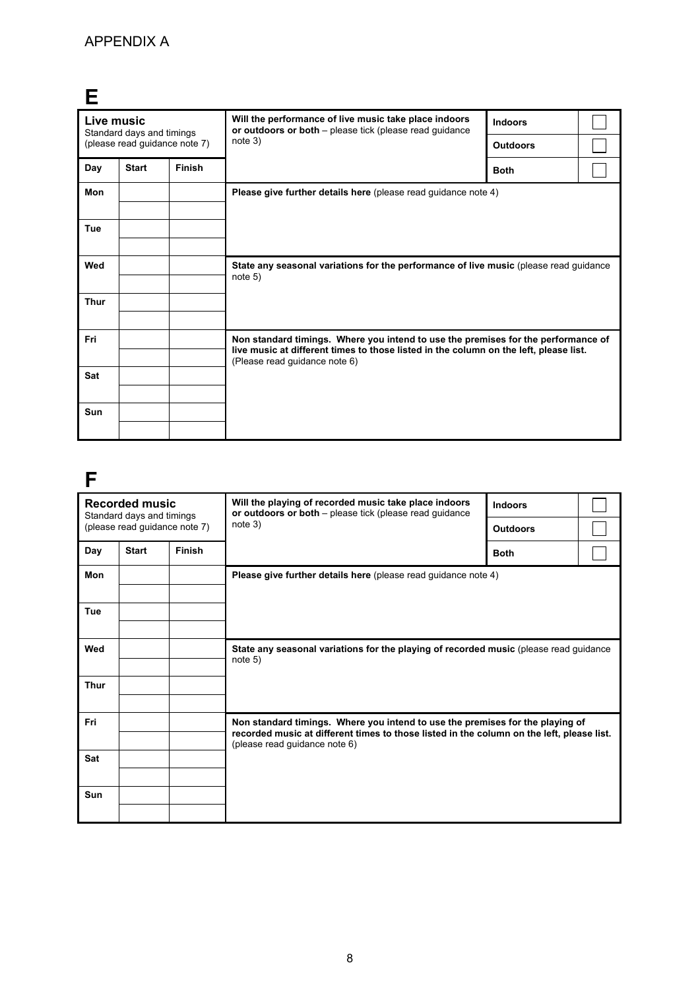# **E**

| Live music<br>Standard days and timings |              |               | Will the performance of live music take place indoors<br>or outdoors or both - please tick (please read guidance                                                                                            | <b>Indoors</b>  |  |  |  |
|-----------------------------------------|--------------|---------------|-------------------------------------------------------------------------------------------------------------------------------------------------------------------------------------------------------------|-----------------|--|--|--|
| (please read guidance note 7)           |              |               | note 3)                                                                                                                                                                                                     | <b>Outdoors</b> |  |  |  |
| Day                                     | <b>Start</b> | <b>Finish</b> |                                                                                                                                                                                                             | <b>Both</b>     |  |  |  |
| Mon                                     |              |               | Please give further details here (please read guidance note 4)                                                                                                                                              |                 |  |  |  |
| Tue                                     |              |               |                                                                                                                                                                                                             |                 |  |  |  |
| Wed                                     |              |               | State any seasonal variations for the performance of live music (please read guidance<br>note 5)                                                                                                            |                 |  |  |  |
| <b>Thur</b>                             |              |               |                                                                                                                                                                                                             |                 |  |  |  |
| Fri                                     |              |               | Non standard timings. Where you intend to use the premises for the performance of<br>live music at different times to those listed in the column on the left, please list.<br>(Please read guidance note 6) |                 |  |  |  |
| Sat                                     |              |               |                                                                                                                                                                                                             |                 |  |  |  |
| Sun                                     |              |               |                                                                                                                                                                                                             |                 |  |  |  |

# **F**

| <b>Recorded music</b><br>Standard days and timings |              |               | Will the playing of recorded music take place indoors<br>or outdoors or both - please tick (please read guidance<br>note 3)                                                                                 | <b>Indoors</b>  |  |
|----------------------------------------------------|--------------|---------------|-------------------------------------------------------------------------------------------------------------------------------------------------------------------------------------------------------------|-----------------|--|
| (please read guidance note 7)                      |              |               |                                                                                                                                                                                                             | <b>Outdoors</b> |  |
| Day                                                | <b>Start</b> | <b>Finish</b> |                                                                                                                                                                                                             | <b>Both</b>     |  |
| Mon                                                |              |               | Please give further details here (please read guidance note 4)                                                                                                                                              |                 |  |
| Tue                                                |              |               |                                                                                                                                                                                                             |                 |  |
| Wed                                                |              |               | State any seasonal variations for the playing of recorded music (please read guidance<br>note 5)                                                                                                            |                 |  |
| <b>Thur</b>                                        |              |               |                                                                                                                                                                                                             |                 |  |
| Fri                                                |              |               | Non standard timings. Where you intend to use the premises for the playing of<br>recorded music at different times to those listed in the column on the left, please list.<br>(please read guidance note 6) |                 |  |
| Sat                                                |              |               |                                                                                                                                                                                                             |                 |  |
| Sun                                                |              |               |                                                                                                                                                                                                             |                 |  |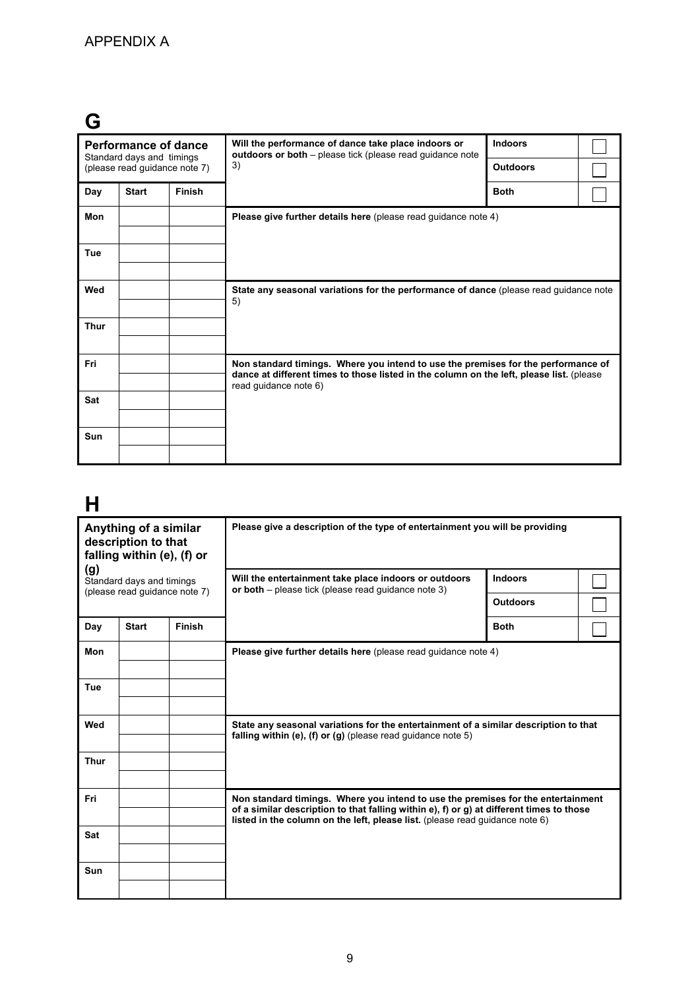### **G Performance of dance** Standard days and timings (please read guidance note 7) **Will the performance of dance take place indoors or outdoors or both** – please tick (please read guidance note 3) **Indoors Outdoors Day Start Finish Both American Start Both Both Mon Please give further details here** (please read guidance note 4) **Tue Wed State any seasonal variations for the performance of dance** (please read guidance note 5) **Thur Fri** Non standard timings. Where you intend to use the premises for the performance of **dance at different times to those listed in the column on the left, please list.** (please read guidance note 6) **Sat Sun**

### **H**

| Anything of a similar<br>description to that<br>falling within (e), (f) or |              |               | Please give a description of the type of entertainment you will be providing                                                                                                                                                                                 |                 |  |
|----------------------------------------------------------------------------|--------------|---------------|--------------------------------------------------------------------------------------------------------------------------------------------------------------------------------------------------------------------------------------------------------------|-----------------|--|
| (g)<br>Standard days and timings<br>(please read quidance note 7)          |              |               | Indoors<br>Will the entertainment take place indoors or outdoors<br>or both $-$ please tick (please read guidance note 3)                                                                                                                                    |                 |  |
|                                                                            |              |               |                                                                                                                                                                                                                                                              | <b>Outdoors</b> |  |
| Day                                                                        | <b>Start</b> | <b>Finish</b> |                                                                                                                                                                                                                                                              | <b>Both</b>     |  |
| Mon                                                                        |              |               | Please give further details here (please read guidance note 4)                                                                                                                                                                                               |                 |  |
| Tue                                                                        |              |               |                                                                                                                                                                                                                                                              |                 |  |
| Wed                                                                        |              |               | State any seasonal variations for the entertainment of a similar description to that<br>falling within (e), (f) or (g) (please read guidance note $5$ )                                                                                                      |                 |  |
| <b>Thur</b>                                                                |              |               |                                                                                                                                                                                                                                                              |                 |  |
| Fri                                                                        |              |               | Non standard timings. Where you intend to use the premises for the entertainment<br>of a similar description to that falling within e), f) or g) at different times to those<br>listed in the column on the left, please list. (please read quidance note 6) |                 |  |
| Sat                                                                        |              |               |                                                                                                                                                                                                                                                              |                 |  |
| Sun                                                                        |              |               |                                                                                                                                                                                                                                                              |                 |  |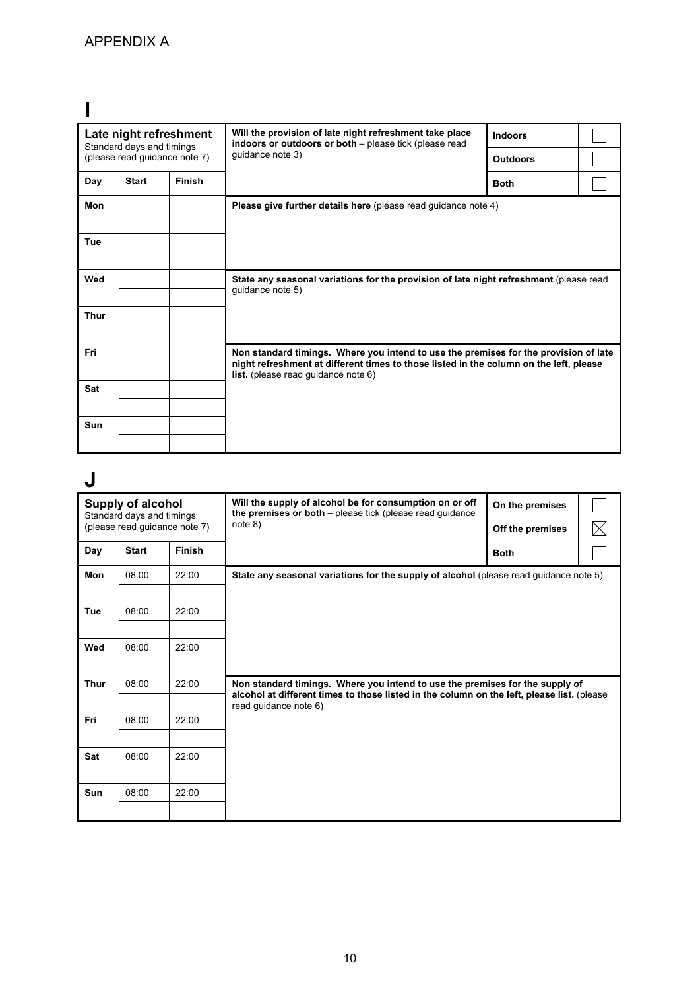| Late night refreshment<br>Standard days and timings |              |               | Will the provision of late night refreshment take place<br>indoors or outdoors or both - please tick (please read                                                                                                     | <b>Indoors</b>  |  |
|-----------------------------------------------------|--------------|---------------|-----------------------------------------------------------------------------------------------------------------------------------------------------------------------------------------------------------------------|-----------------|--|
| (please read guidance note 7)                       |              |               | guidance note 3)                                                                                                                                                                                                      | <b>Outdoors</b> |  |
| Day                                                 | <b>Start</b> | <b>Finish</b> |                                                                                                                                                                                                                       | <b>Both</b>     |  |
| Mon                                                 |              |               | Please give further details here (please read guidance note 4)                                                                                                                                                        |                 |  |
| Tue                                                 |              |               |                                                                                                                                                                                                                       |                 |  |
| Wed                                                 |              |               | State any seasonal variations for the provision of late night refreshment (please read<br>guidance note 5)                                                                                                            |                 |  |
| <b>Thur</b>                                         |              |               |                                                                                                                                                                                                                       |                 |  |
| Fri                                                 |              |               | Non standard timings. Where you intend to use the premises for the provision of late<br>night refreshment at different times to those listed in the column on the left, please<br>list. (please read quidance note 6) |                 |  |
| Sat                                                 |              |               |                                                                                                                                                                                                                       |                 |  |
| Sun                                                 |              |               |                                                                                                                                                                                                                       |                 |  |

# **J**

| <b>Supply of alcohol</b><br>Standard days and timings |              |               | Will the supply of alcohol be for consumption on or off<br>the premises or both $-$ please tick (please read guidance | On the premises  |  |
|-------------------------------------------------------|--------------|---------------|-----------------------------------------------------------------------------------------------------------------------|------------------|--|
| (please read guidance note 7)                         |              |               | note 8)                                                                                                               | Off the premises |  |
| Day                                                   | <b>Start</b> | <b>Finish</b> |                                                                                                                       | <b>Both</b>      |  |
| Mon                                                   | 08:00        | 22:00         | State any seasonal variations for the supply of alcohol (please read guidance note 5)                                 |                  |  |
|                                                       |              |               |                                                                                                                       |                  |  |
| Tue                                                   | 08:00        | 22:00         |                                                                                                                       |                  |  |
|                                                       |              |               |                                                                                                                       |                  |  |
| Wed                                                   | 08:00        | 22:00         |                                                                                                                       |                  |  |
|                                                       |              |               |                                                                                                                       |                  |  |
| <b>Thur</b>                                           | 08:00        | 22:00         | Non standard timings. Where you intend to use the premises for the supply of                                          |                  |  |
|                                                       |              |               | alcohol at different times to those listed in the column on the left, please list. (please<br>read guidance note 6)   |                  |  |
| Fri                                                   | 08:00        | 22:00         |                                                                                                                       |                  |  |
|                                                       |              |               |                                                                                                                       |                  |  |
| Sat                                                   | 08:00        | 22:00         |                                                                                                                       |                  |  |
|                                                       |              |               |                                                                                                                       |                  |  |
| Sun                                                   | 08:00        | 22:00         |                                                                                                                       |                  |  |
|                                                       |              |               |                                                                                                                       |                  |  |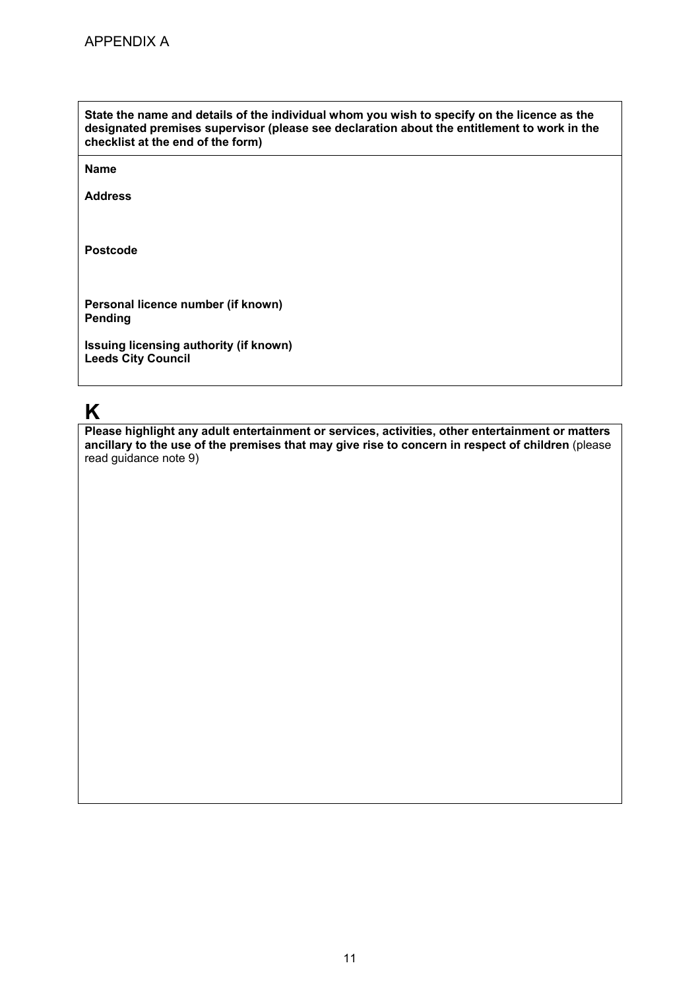**State the name and details of the individual whom you wish to specify on the licence as the designated premises supervisor (please see declaration about the entitlement to work in the checklist at the end of the form) Name Address Postcode Personal licence number (if known) Pending Issuing licensing authority (if known) Leeds City Council** 

# **K**

**Please highlight any adult entertainment or services, activities, other entertainment or matters ancillary to the use of the premises that may give rise to concern in respect of children** (please read guidance note 9)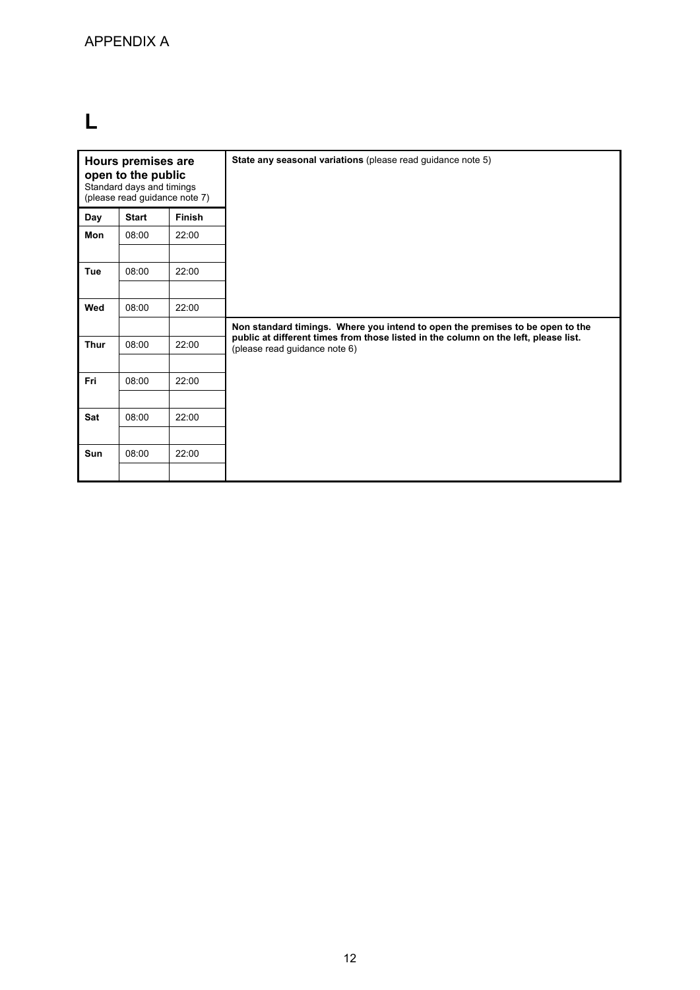# **L**

| Hours premises are<br>open to the public<br>Standard days and timings<br>(please read guidance note 7) |              |               | State any seasonal variations (please read guidance note 5)                                                          |
|--------------------------------------------------------------------------------------------------------|--------------|---------------|----------------------------------------------------------------------------------------------------------------------|
| Day                                                                                                    | <b>Start</b> | <b>Finish</b> |                                                                                                                      |
| Mon                                                                                                    | 08:00        | 22:00         |                                                                                                                      |
|                                                                                                        |              |               |                                                                                                                      |
| Tue                                                                                                    | 08:00        | 22:00         |                                                                                                                      |
|                                                                                                        |              |               |                                                                                                                      |
| Wed                                                                                                    | 08:00        | 22:00         |                                                                                                                      |
|                                                                                                        |              |               | Non standard timings. Where you intend to open the premises to be open to the                                        |
| <b>Thur</b>                                                                                            | 08:00        | 22:00         | public at different times from those listed in the column on the left, please list.<br>(please read guidance note 6) |
|                                                                                                        |              |               |                                                                                                                      |
| Fri                                                                                                    | 08:00        | 22:00         |                                                                                                                      |
|                                                                                                        |              |               |                                                                                                                      |
| Sat                                                                                                    | 08:00        | 22:00         |                                                                                                                      |
|                                                                                                        |              |               |                                                                                                                      |
| Sun                                                                                                    | 08:00        | 22:00         |                                                                                                                      |
|                                                                                                        |              |               |                                                                                                                      |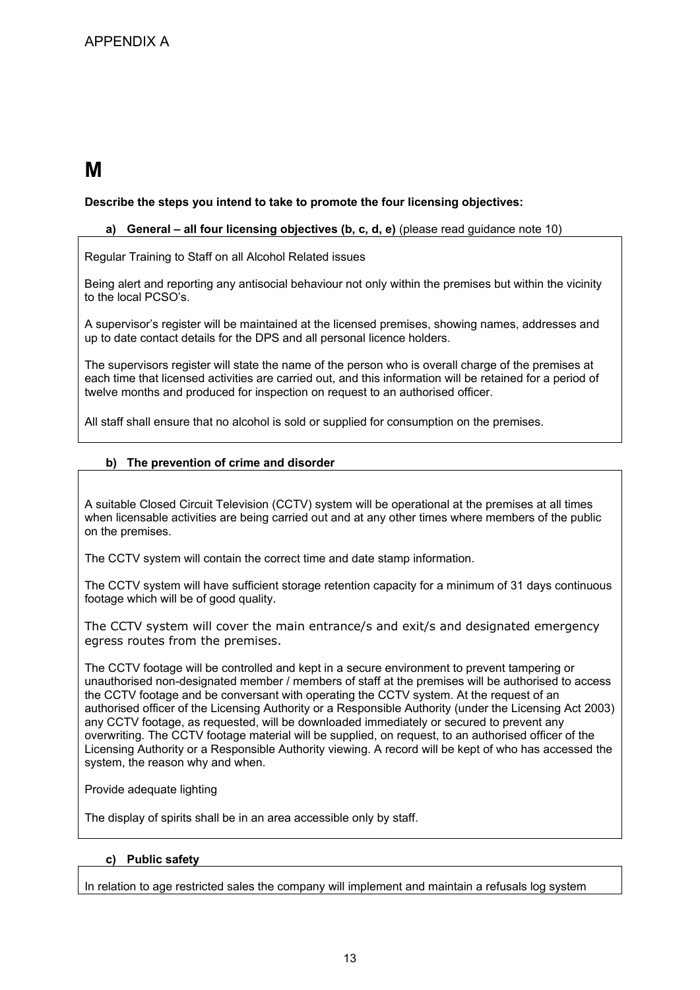# **M**

### **Describe the steps you intend to take to promote the four licensing objectives:**

### **a) General – all four licensing objectives (b, c, d, e)** (please read guidance note 10)

Regular Training to Staff on all Alcohol Related issues

Being alert and reporting any antisocial behaviour not only within the premises but within the vicinity to the local PCSO's.

A supervisor's register will be maintained at the licensed premises, showing names, addresses and up to date contact details for the DPS and all personal licence holders.

The supervisors register will state the name of the person who is overall charge of the premises at each time that licensed activities are carried out, and this information will be retained for a period of twelve months and produced for inspection on request to an authorised officer.

All staff shall ensure that no alcohol is sold or supplied for consumption on the premises.

### **b) The prevention of crime and disorder**

A suitable Closed Circuit Television (CCTV) system will be operational at the premises at all times when licensable activities are being carried out and at any other times where members of the public on the premises.

The CCTV system will contain the correct time and date stamp information.

The CCTV system will have sufficient storage retention capacity for a minimum of 31 days continuous footage which will be of good quality.

The CCTV system will cover the main entrance/s and exit/s and designated emergency egress routes from the premises.

The CCTV footage will be controlled and kept in a secure environment to prevent tampering or unauthorised non-designated member / members of staff at the premises will be authorised to access the CCTV footage and be conversant with operating the CCTV system. At the request of an authorised officer of the Licensing Authority or a Responsible Authority (under the Licensing Act 2003) any CCTV footage, as requested, will be downloaded immediately or secured to prevent any overwriting. The CCTV footage material will be supplied, on request, to an authorised officer of the Licensing Authority or a Responsible Authority viewing. A record will be kept of who has accessed the system, the reason why and when.

Provide adequate lighting

The display of spirits shall be in an area accessible only by staff.

### **c) Public safety**

In relation to age restricted sales the company will implement and maintain a refusals log system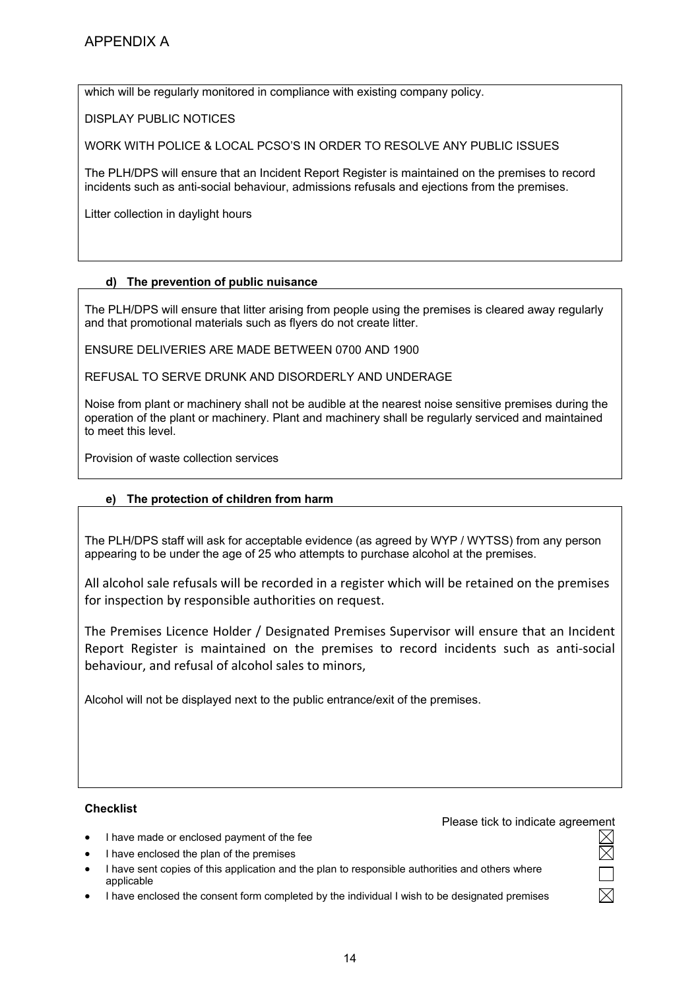which will be regularly monitored in compliance with existing company policy.

DISPLAY PUBLIC NOTICES

WORK WITH POLICE & LOCAL PCSO'S IN ORDER TO RESOLVE ANY PUBLIC ISSUES

The PLH/DPS will ensure that an Incident Report Register is maintained on the premises to record incidents such as anti-social behaviour, admissions refusals and ejections from the premises.

Litter collection in daylight hours

### **d) The prevention of public nuisance**

The PLH/DPS will ensure that litter arising from people using the premises is cleared away regularly and that promotional materials such as flyers do not create litter.

ENSURE DELIVERIES ARE MADE BETWEEN 0700 AND 1900

REFUSAL TO SERVE DRUNK AND DISORDERLY AND UNDERAGE

Noise from plant or machinery shall not be audible at the nearest noise sensitive premises during the operation of the plant or machinery. Plant and machinery shall be regularly serviced and maintained to meet this level.

Provision of waste collection services

### **e) The protection of children from harm**

The PLH/DPS staff will ask for acceptable evidence (as agreed by WYP / WYTSS) from any person appearing to be under the age of 25 who attempts to purchase alcohol at the premises.

All alcohol sale refusals will be recorded in a register which will be retained on the premises for inspection by responsible authorities on request.

The Premises Licence Holder / Designated Premises Supervisor will ensure that an Incident Report Register is maintained on the premises to record incidents such as anti‐social behaviour, and refusal of alcohol sales to minors,

Alcohol will not be displayed next to the public entrance/exit of the premises.

### **Checklist**

# Please tick to indicate agreement<br> $\boxtimes$

 $\boxtimes$ 

- I have made or enclosed payment of the fee
- I have enclosed the plan of the premises
- I have sent copies of this application and the plan to responsible authorities and others where applicable
- I have enclosed the consent form completed by the individual I wish to be designated premises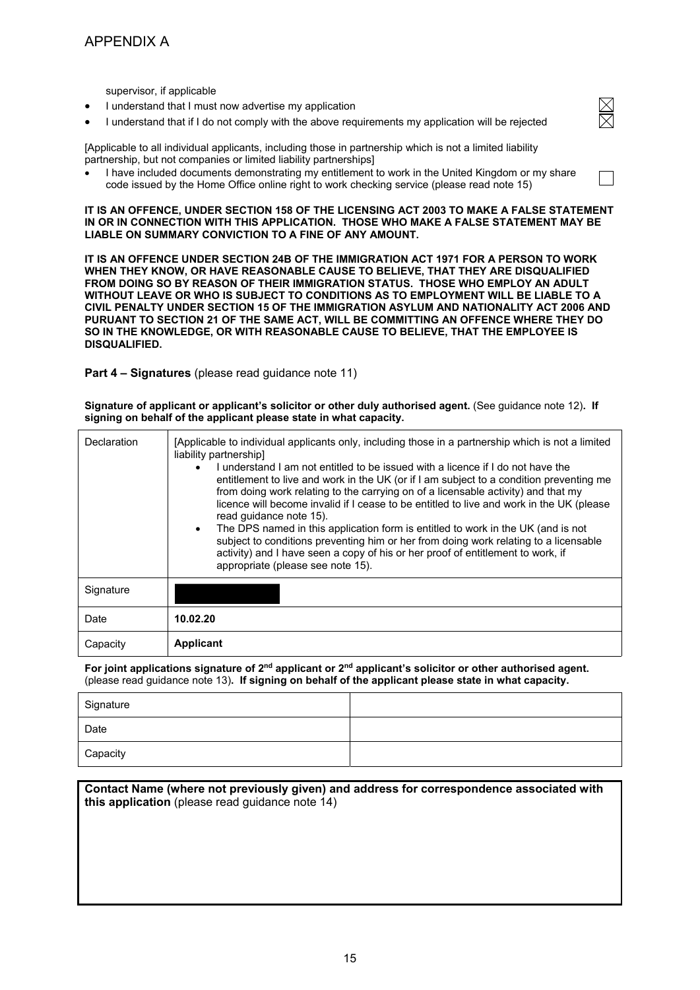supervisor, if applicable

- I understand that I must now advertise my application
- I understand that if I do not comply with the above requirements my application will be rejected

[Applicable to all individual applicants, including those in partnership which is not a limited liability partnership, but not companies or limited liability partnerships]

 I have included documents demonstrating my entitlement to work in the United Kingdom or my share code issued by the Home Office online right to work checking service (please read note 15)

#### **IT IS AN OFFENCE, UNDER SECTION 158 OF THE LICENSING ACT 2003 TO MAKE A FALSE STATEMENT IN OR IN CONNECTION WITH THIS APPLICATION. THOSE WHO MAKE A FALSE STATEMENT MAY BE LIABLE ON SUMMARY CONVICTION TO A FINE OF ANY AMOUNT.**

**IT IS AN OFFENCE UNDER SECTION 24B OF THE IMMIGRATION ACT 1971 FOR A PERSON TO WORK WHEN THEY KNOW, OR HAVE REASONABLE CAUSE TO BELIEVE, THAT THEY ARE DISQUALIFIED FROM DOING SO BY REASON OF THEIR IMMIGRATION STATUS. THOSE WHO EMPLOY AN ADULT WITHOUT LEAVE OR WHO IS SUBJECT TO CONDITIONS AS TO EMPLOYMENT WILL BE LIABLE TO A CIVIL PENALTY UNDER SECTION 15 OF THE IMMIGRATION ASYLUM AND NATIONALITY ACT 2006 AND PURUANT TO SECTION 21 OF THE SAME ACT, WILL BE COMMITTING AN OFFENCE WHERE THEY DO SO IN THE KNOWLEDGE, OR WITH REASONABLE CAUSE TO BELIEVE, THAT THE EMPLOYEE IS DISQUALIFIED.** 

**Part 4 – Signatures** (please read guidance note 11)

**Signature of applicant or applicant's solicitor or other duly authorised agent.** (See guidance note 12)**. If signing on behalf of the applicant please state in what capacity.** 

| Declaration | [Applicable to individual applicants only, including those in a partnership which is not a limited<br>liability partnership]<br>I understand I am not entitled to be issued with a licence if I do not have the<br>$\bullet$<br>entitlement to live and work in the UK (or if I am subject to a condition preventing me<br>from doing work relating to the carrying on of a licensable activity) and that my<br>licence will become invalid if I cease to be entitled to live and work in the UK (please<br>read guidance note 15).<br>The DPS named in this application form is entitled to work in the UK (and is not<br>$\bullet$<br>subject to conditions preventing him or her from doing work relating to a licensable<br>activity) and I have seen a copy of his or her proof of entitlement to work, if<br>appropriate (please see note 15). |
|-------------|------------------------------------------------------------------------------------------------------------------------------------------------------------------------------------------------------------------------------------------------------------------------------------------------------------------------------------------------------------------------------------------------------------------------------------------------------------------------------------------------------------------------------------------------------------------------------------------------------------------------------------------------------------------------------------------------------------------------------------------------------------------------------------------------------------------------------------------------------|
| Signature   |                                                                                                                                                                                                                                                                                                                                                                                                                                                                                                                                                                                                                                                                                                                                                                                                                                                      |
| Date        | 10.02.20                                                                                                                                                                                                                                                                                                                                                                                                                                                                                                                                                                                                                                                                                                                                                                                                                                             |
| Capacity    | <b>Applicant</b>                                                                                                                                                                                                                                                                                                                                                                                                                                                                                                                                                                                                                                                                                                                                                                                                                                     |

For joint applications signature of 2<sup>nd</sup> applicant or 2<sup>nd</sup> applicant's solicitor or other authorised agent. (please read guidance note 13)**. If signing on behalf of the applicant please state in what capacity.** 

| Signature |  |
|-----------|--|
| Date      |  |
| Capacity  |  |

**Contact Name (where not previously given) and address for correspondence associated with this application** (please read guidance note 14)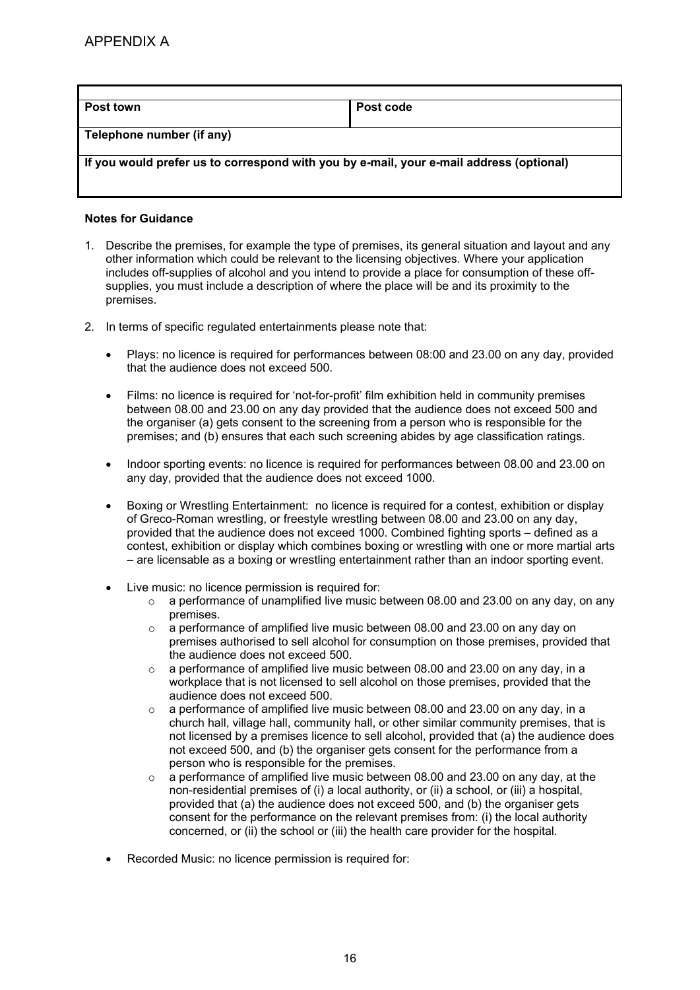| Post town                                                                               | Post code |  |  |  |  |
|-----------------------------------------------------------------------------------------|-----------|--|--|--|--|
|                                                                                         |           |  |  |  |  |
| Telephone number (if any)                                                               |           |  |  |  |  |
| If you would prefer us to correspond with you by e-mail, your e-mail address (optional) |           |  |  |  |  |
|                                                                                         |           |  |  |  |  |

### **Notes for Guidance**

- 1. Describe the premises, for example the type of premises, its general situation and layout and any other information which could be relevant to the licensing objectives. Where your application includes off-supplies of alcohol and you intend to provide a place for consumption of these offsupplies, you must include a description of where the place will be and its proximity to the premises.
- 2. In terms of specific regulated entertainments please note that:
	- Plays: no licence is required for performances between 08:00 and 23.00 on any day, provided that the audience does not exceed 500.
	- Films: no licence is required for 'not-for-profit' film exhibition held in community premises between 08.00 and 23.00 on any day provided that the audience does not exceed 500 and the organiser (a) gets consent to the screening from a person who is responsible for the premises; and (b) ensures that each such screening abides by age classification ratings.
	- Indoor sporting events: no licence is required for performances between 08.00 and 23.00 on any day, provided that the audience does not exceed 1000.
	- Boxing or Wrestling Entertainment: no licence is required for a contest, exhibition or display of Greco-Roman wrestling, or freestyle wrestling between 08.00 and 23.00 on any day, provided that the audience does not exceed 1000. Combined fighting sports – defined as a contest, exhibition or display which combines boxing or wrestling with one or more martial arts – are licensable as a boxing or wrestling entertainment rather than an indoor sporting event.
	- Live music: no licence permission is required for:
		- $\circ$  a performance of unamplified live music between 08.00 and 23.00 on any day, on any premises.
		- $\circ$  a performance of amplified live music between 08.00 and 23.00 on any day on premises authorised to sell alcohol for consumption on those premises, provided that the audience does not exceed 500.
		- $\circ$  a performance of amplified live music between 08.00 and 23.00 on any day, in a workplace that is not licensed to sell alcohol on those premises, provided that the audience does not exceed 500.
		- a performance of amplified live music between 08.00 and 23.00 on any day, in a church hall, village hall, community hall, or other similar community premises, that is not licensed by a premises licence to sell alcohol, provided that (a) the audience does not exceed 500, and (b) the organiser gets consent for the performance from a person who is responsible for the premises.
		- o a performance of amplified live music between 08.00 and 23.00 on any day, at the non-residential premises of (i) a local authority, or (ii) a school, or (iii) a hospital, provided that (a) the audience does not exceed 500, and (b) the organiser gets consent for the performance on the relevant premises from: (i) the local authority concerned, or (ii) the school or (iii) the health care provider for the hospital.
	- Recorded Music: no licence permission is required for: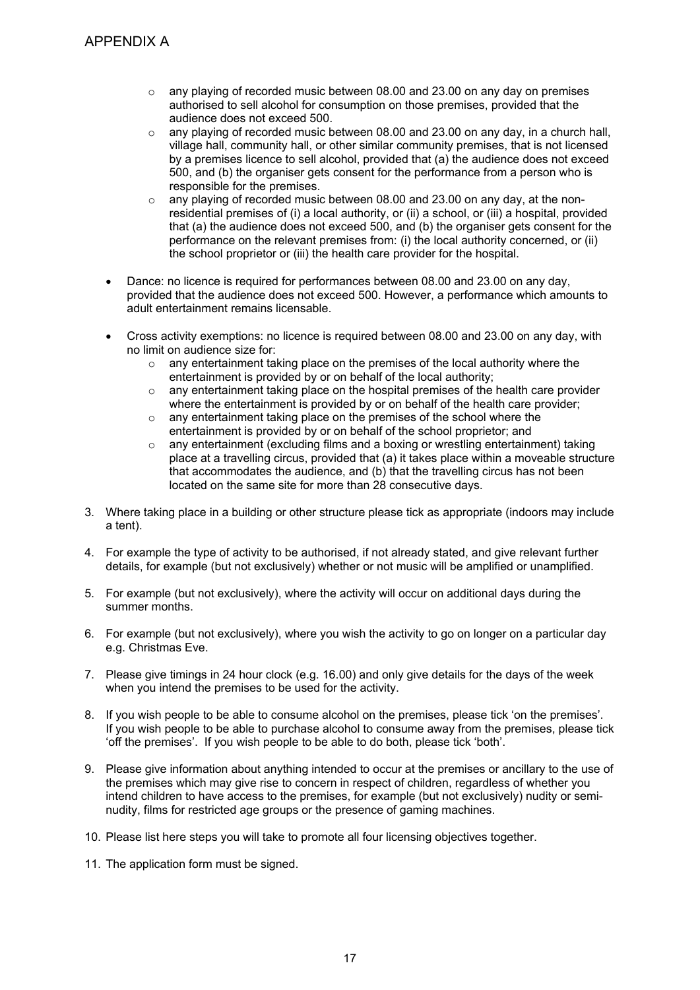- o any playing of recorded music between 08.00 and 23.00 on any day on premises authorised to sell alcohol for consumption on those premises, provided that the audience does not exceed 500.
- $\circ$  any playing of recorded music between 08.00 and 23.00 on any day, in a church hall, village hall, community hall, or other similar community premises, that is not licensed by a premises licence to sell alcohol, provided that (a) the audience does not exceed 500, and (b) the organiser gets consent for the performance from a person who is responsible for the premises.
- o any playing of recorded music between 08.00 and 23.00 on any day, at the nonresidential premises of (i) a local authority, or (ii) a school, or (iii) a hospital, provided that (a) the audience does not exceed 500, and (b) the organiser gets consent for the performance on the relevant premises from: (i) the local authority concerned, or (ii) the school proprietor or (iii) the health care provider for the hospital.
- Dance: no licence is required for performances between 08.00 and 23.00 on any day, provided that the audience does not exceed 500. However, a performance which amounts to adult entertainment remains licensable.
- Cross activity exemptions: no licence is required between 08.00 and 23.00 on any day, with no limit on audience size for:
	- $\circ$  any entertainment taking place on the premises of the local authority where the entertainment is provided by or on behalf of the local authority;
	- $\circ$  any entertainment taking place on the hospital premises of the health care provider where the entertainment is provided by or on behalf of the health care provider;
	- o any entertainment taking place on the premises of the school where the entertainment is provided by or on behalf of the school proprietor; and
	- $\circ$  any entertainment (excluding films and a boxing or wrestling entertainment) taking place at a travelling circus, provided that (a) it takes place within a moveable structure that accommodates the audience, and (b) that the travelling circus has not been located on the same site for more than 28 consecutive days.
- 3. Where taking place in a building or other structure please tick as appropriate (indoors may include a tent).
- 4. For example the type of activity to be authorised, if not already stated, and give relevant further details, for example (but not exclusively) whether or not music will be amplified or unamplified.
- 5. For example (but not exclusively), where the activity will occur on additional days during the summer months.
- 6. For example (but not exclusively), where you wish the activity to go on longer on a particular day e.g. Christmas Eve.
- 7. Please give timings in 24 hour clock (e.g. 16.00) and only give details for the days of the week when you intend the premises to be used for the activity.
- 8. If you wish people to be able to consume alcohol on the premises, please tick 'on the premises'. If you wish people to be able to purchase alcohol to consume away from the premises, please tick 'off the premises'. If you wish people to be able to do both, please tick 'both'.
- 9. Please give information about anything intended to occur at the premises or ancillary to the use of the premises which may give rise to concern in respect of children, regardless of whether you intend children to have access to the premises, for example (but not exclusively) nudity or seminudity, films for restricted age groups or the presence of gaming machines.
- 10. Please list here steps you will take to promote all four licensing objectives together.
- 11. The application form must be signed.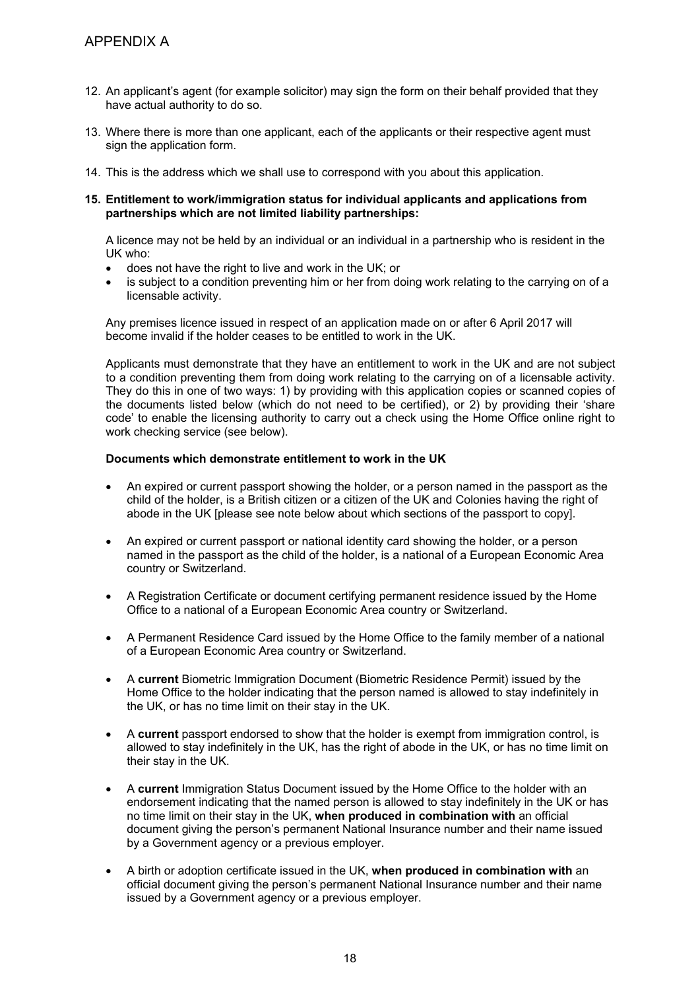- 12. An applicant's agent (for example solicitor) may sign the form on their behalf provided that they have actual authority to do so.
- 13. Where there is more than one applicant, each of the applicants or their respective agent must sign the application form.
- 14. This is the address which we shall use to correspond with you about this application.

### **15. Entitlement to work/immigration status for individual applicants and applications from partnerships which are not limited liability partnerships:**

A licence may not be held by an individual or an individual in a partnership who is resident in the UK who:

- does not have the right to live and work in the UK; or
- is subject to a condition preventing him or her from doing work relating to the carrying on of a licensable activity.

Any premises licence issued in respect of an application made on or after 6 April 2017 will become invalid if the holder ceases to be entitled to work in the UK.

Applicants must demonstrate that they have an entitlement to work in the UK and are not subject to a condition preventing them from doing work relating to the carrying on of a licensable activity. They do this in one of two ways: 1) by providing with this application copies or scanned copies of the documents listed below (which do not need to be certified), or 2) by providing their 'share code' to enable the licensing authority to carry out a check using the Home Office online right to work checking service (see below).

### **Documents which demonstrate entitlement to work in the UK**

- An expired or current passport showing the holder, or a person named in the passport as the child of the holder, is a British citizen or a citizen of the UK and Colonies having the right of abode in the UK [please see note below about which sections of the passport to copy].
- An expired or current passport or national identity card showing the holder, or a person named in the passport as the child of the holder, is a national of a European Economic Area country or Switzerland.
- A Registration Certificate or document certifying permanent residence issued by the Home Office to a national of a European Economic Area country or Switzerland.
- A Permanent Residence Card issued by the Home Office to the family member of a national of a European Economic Area country or Switzerland.
- A **current** Biometric Immigration Document (Biometric Residence Permit) issued by the Home Office to the holder indicating that the person named is allowed to stay indefinitely in the UK, or has no time limit on their stay in the UK.
- A **current** passport endorsed to show that the holder is exempt from immigration control, is allowed to stay indefinitely in the UK, has the right of abode in the UK, or has no time limit on their stay in the UK.
- A **current** Immigration Status Document issued by the Home Office to the holder with an endorsement indicating that the named person is allowed to stay indefinitely in the UK or has no time limit on their stay in the UK, **when produced in combination with** an official document giving the person's permanent National Insurance number and their name issued by a Government agency or a previous employer.
- A birth or adoption certificate issued in the UK, **when produced in combination with** an official document giving the person's permanent National Insurance number and their name issued by a Government agency or a previous employer.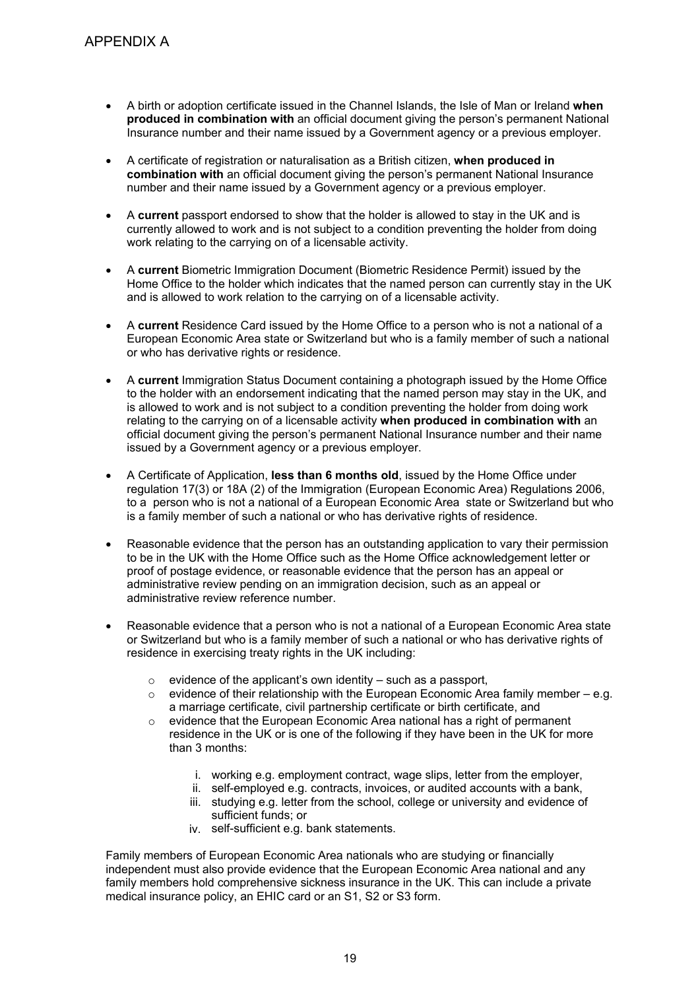- A birth or adoption certificate issued in the Channel Islands, the Isle of Man or Ireland **when produced in combination with** an official document giving the person's permanent National Insurance number and their name issued by a Government agency or a previous employer.
- A certificate of registration or naturalisation as a British citizen, **when produced in combination with** an official document giving the person's permanent National Insurance number and their name issued by a Government agency or a previous employer.
- A **current** passport endorsed to show that the holder is allowed to stay in the UK and is currently allowed to work and is not subject to a condition preventing the holder from doing work relating to the carrying on of a licensable activity.
- A **current** Biometric Immigration Document (Biometric Residence Permit) issued by the Home Office to the holder which indicates that the named person can currently stay in the UK and is allowed to work relation to the carrying on of a licensable activity.
- A **current** Residence Card issued by the Home Office to a person who is not a national of a European Economic Area state or Switzerland but who is a family member of such a national or who has derivative rights or residence.
- A **current** Immigration Status Document containing a photograph issued by the Home Office to the holder with an endorsement indicating that the named person may stay in the UK, and is allowed to work and is not subject to a condition preventing the holder from doing work relating to the carrying on of a licensable activity **when produced in combination with** an official document giving the person's permanent National Insurance number and their name issued by a Government agency or a previous employer.
- A Certificate of Application, **less than 6 months old**, issued by the Home Office under regulation 17(3) or 18A (2) of the Immigration (European Economic Area) Regulations 2006, to a person who is not a national of a European Economic Area state or Switzerland but who is a family member of such a national or who has derivative rights of residence.
- Reasonable evidence that the person has an outstanding application to vary their permission to be in the UK with the Home Office such as the Home Office acknowledgement letter or proof of postage evidence, or reasonable evidence that the person has an appeal or administrative review pending on an immigration decision, such as an appeal or administrative review reference number.
- Reasonable evidence that a person who is not a national of a European Economic Area state or Switzerland but who is a family member of such a national or who has derivative rights of residence in exercising treaty rights in the UK including:
	- $\circ$  evidence of the applicant's own identity such as a passport,
	- evidence of their relationship with the European Economic Area family member  $-e.a.$ a marriage certificate, civil partnership certificate or birth certificate, and
	- o evidence that the European Economic Area national has a right of permanent residence in the UK or is one of the following if they have been in the UK for more than 3 months:
		- i. working e.g. employment contract, wage slips, letter from the employer,
		- ii. self-employed e.g. contracts, invoices, or audited accounts with a bank,
		- iii. studying e.g. letter from the school, college or university and evidence of sufficient funds; or
		- iv. self-sufficient e.g. bank statements.

Family members of European Economic Area nationals who are studying or financially independent must also provide evidence that the European Economic Area national and any family members hold comprehensive sickness insurance in the UK. This can include a private medical insurance policy, an EHIC card or an S1, S2 or S3 form.